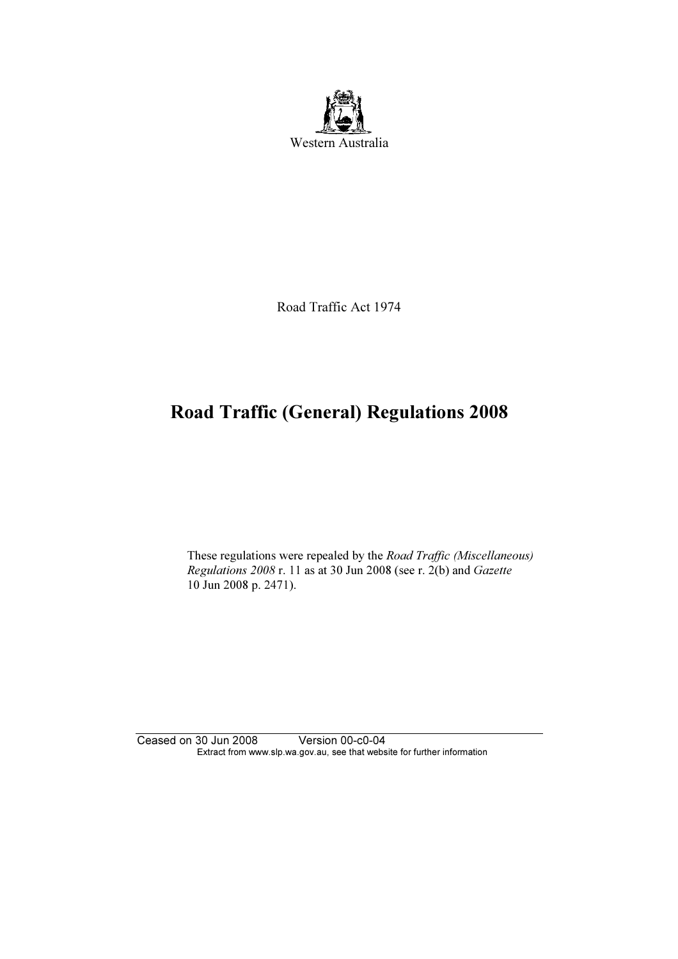

Road Traffic Act 1974

# Road Traffic (General) Regulations 2008

 These regulations were repealed by the Road Traffic (Miscellaneous) Regulations 2008 r. 11 as at 30 Jun 2008 (see r. 2(b) and Gazette 10 Jun 2008 p. 2471).

Ceased on 30 Jun 2008 Version 00-c0-04 Extract from www.slp.wa.gov.au, see that website for further information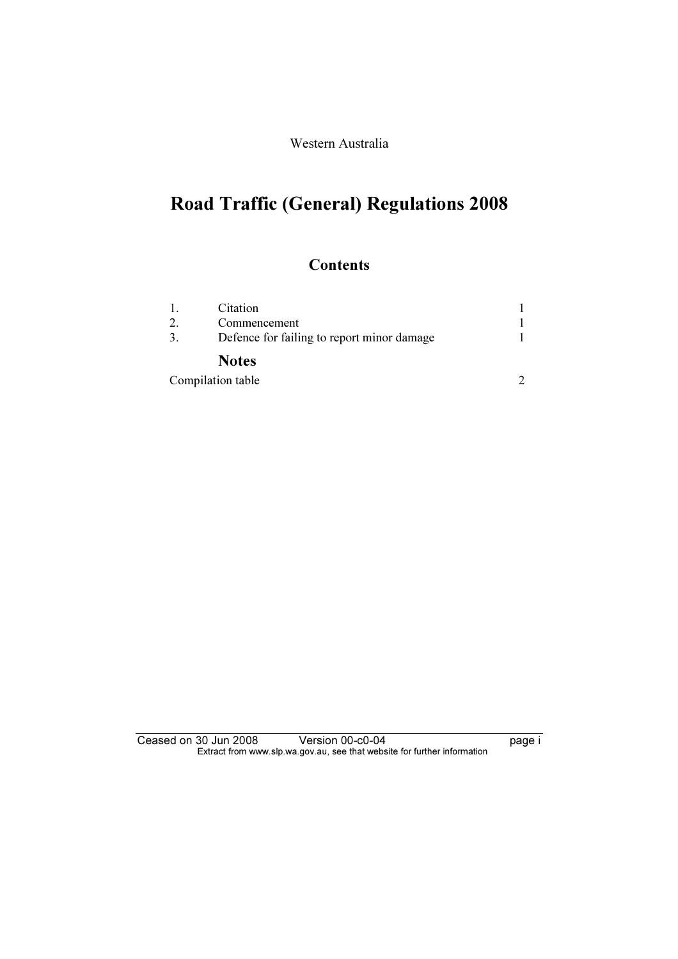Western Australia

# Road Traffic (General) Regulations 2008

### **Contents**

|    | Citation                                   |  |
|----|--------------------------------------------|--|
|    | Commencement                               |  |
| 3. | Defence for failing to report minor damage |  |
|    | <b>Notes</b>                               |  |
|    | Compilation table                          |  |

Ceased on 30 Jun 2008 Version 00-c0-04 Page i Extract from www.slp.wa.gov.au, see that website for further information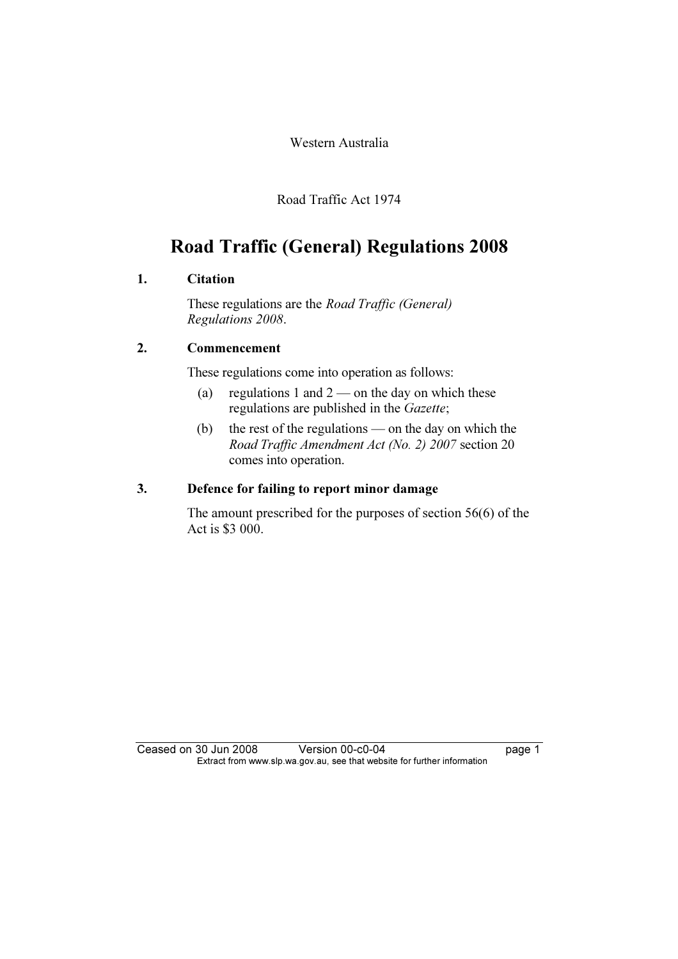Western Australia

Road Traffic Act 1974

## Road Traffic (General) Regulations 2008

#### 1. Citation

 These regulations are the Road Traffic (General) Regulations 2008.

### 2. Commencement

These regulations come into operation as follows:

- (a) regulations 1 and  $2$  on the day on which these regulations are published in the Gazette;
- (b) the rest of the regulations on the day on which the Road Traffic Amendment Act (No. 2) 2007 section 20 comes into operation.

#### 3. Defence for failing to report minor damage

 The amount prescribed for the purposes of section 56(6) of the Act is \$3 000.

Ceased on 30 Jun 2008 Version 00-c0-04 page 1 Extract from www.slp.wa.gov.au, see that website for further information